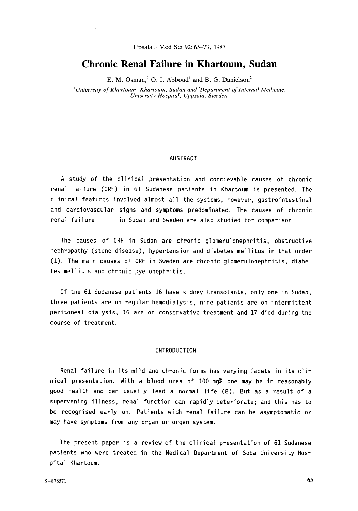**Upsala** J Med **Sci** 92: 65-73, 1987

# **Chronic Renal Failure in Khartoum, Sudan**

E. M. Osman,' 0. I. Abboud' and **B.** G. Danielson2

*'University* of *Khartoum, Khartoum, Sudan and 2Department of Internal Medicine, University Hospital, Uppsala, Sweden* 

#### ABSTRACT

A study of the clinical presentation and concievable causes of chronic renal failure (CRF) in 61 Sudanese patients in Khartoum is presented. The clinical features involved almost all the systems, however, gastrointestinal and cardiovascular signs and symptoms predominated. The causes of chronic renal failure in Sudan and Sweden are also studied for comparison.

The causes of CRF in Sudan are chronic glomerulonephritis, obstructive nephropathy (stone disease), hypertension and diabetes mellitus in that order (1). The main causes of CRF in Sweden are chronic glomerulonephritis, diabetes mellitus and chronic pyelonephritis.

Of the 61 Sudanese patients 16 have kidney transplants, only one in Sudan, three patients are on regular hemodialysis, nine patients are on intermittent peritoneal dialysis, 16 are on conservative treatment and 17 died during the course of treatment.

## INTRODUCTION

Renal failure in its mild and chronic forms has varying facets in its clinical presentation. With a blood urea of 100 mg% one may be in reasonably good health and can usually lead a normal life (8). But as a result of a supervening illness, renal function can rapidly deteriorate; and this has to be recognised early on. Patients with renal failure can be asymptomatic or may have symptoms from any organ or organ system.

The present paper is a review of the clinical presentation of 61 Sudanese patients who were treated in the Medical Department of Soba University Hospital Khartoum.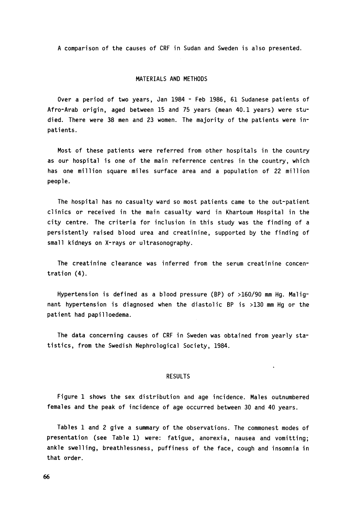A comparison of the causes of CRF in Sudan and Sweden is also presented.

#### MATERIALS AND METHODS

Over a period of two years, Jan 1984 - Feb 1986, 61 Sudanese patients of Afro-Arab origin, aged between 15 and 75 years (mean 40.1 years) were studied. There were 38 men and **23** women. The majority of the patients were inpatients.

Most of these patients were referred from other hospitals in the country as our hospital is one of the main referrence centres in the country, which has one million square miles surface area and a population of 22 million people.

The hospital has no casualty ward so most patients came to the out-patient clinics or received in the main casualty ward in Khartoum Hospital in the city centre. The criteria for inclusion in this study was the finding of a persistently raised blood urea and creatinine, supported by the finding of small kidneys on X-rays or ultrasonography.

The creatinine clearance was inferred from the serum creatinine concentration (4).

Hypertension is defined as a blood pressure (BP) of >160/90 mm Hg. Malignant hypertension is diagnosed when the diastolic **BP** is >130 mm Hg or the patient had papilloedema.

The data concerning causes of CRF in Sweden was obtained from yearly statistics, from the Swedish Nephrological Society, 1984.

#### RESULTS

Figure 1 shows the sex distribution and age incidence. Males outnumbered females and the peak of incidence of age occurred between 30 and 40 years.

Tables 1 and 2 give a summary of the observations. The commonest modes of presentation (see Table **1)** were: fatigue, anorexia, nausea and vomitting; ankle swelling, breathlessness, puffiness of the face, cough and insomnia in that order.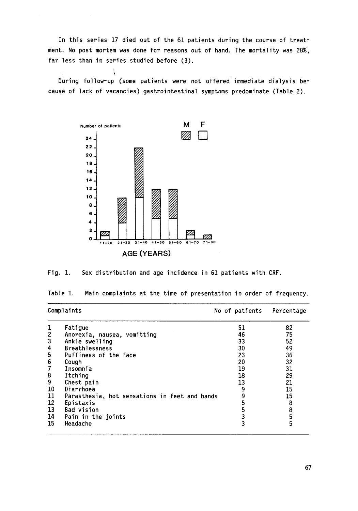In this series **17** died out of the **61** patients during the course of treatment. No post mortem was done for reasons out of hand. The mortality was **28%,**  far less than in series studied before **(3).** 

. During follow-up (some patients were not offered immediate dialysis because of lack of vacancies) gastrointestinal symptoms predominate (Table **2).** 





Table **1.**  Main complaints at the time of presentation in order of frequency.

| Complaints       |                                               | No of patients | Percentage    |  |
|------------------|-----------------------------------------------|----------------|---------------|--|
| 1                | Fatique                                       | 51             | 82            |  |
| $\boldsymbol{2}$ | Anorexia, nausea, vomitting                   | 46             | 75            |  |
| $\mathbf{3}$     | Ankle swelling                                | 33             | 52            |  |
| 4                | <b>Breathlessness</b>                         | 30             | 49            |  |
| 5                | Puffiness of the face                         | 23             | 36            |  |
| 6                | Cough                                         | 20             | 32            |  |
| 7                | Insomnia                                      | 19             | 31            |  |
| 8                | Itching                                       | 18             | 29            |  |
| 9                | Chest pain                                    | 13             | 21            |  |
| 10               | Diarrhoea                                     | 9              | 15            |  |
| 11               | Parasthesia, hot sensations in feet and hands | 9              | 15            |  |
| 12               | Epistaxis                                     | 5              | 8             |  |
| 13               | <b>Bad vision</b>                             | 5              | $\frac{8}{5}$ |  |
| 14               | Pain in the joints                            | 3              |               |  |
| 15               | Headache                                      | 3              | 5             |  |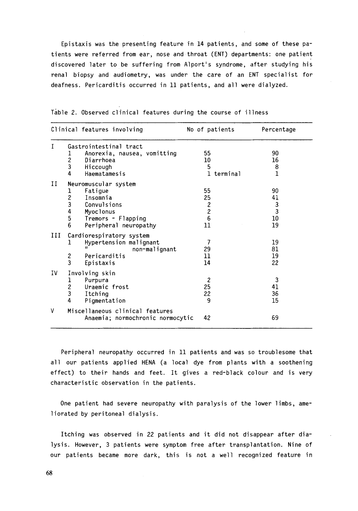Epistaxis was the presenting feature in 14 patients, and some of these patients were referred from ear, nose and throat (ENT) departments: one patient discovered later to be suffering from Alport's syndrome, after studying his renal biopsy and audiometry, was under the care of an ENT specialist for deafness. Pericarditis occurred in 11 patients, and all were dialyzed.

|    | Clinical features involving      | No of patients                             | Percentage    |  |  |
|----|----------------------------------|--------------------------------------------|---------------|--|--|
| T  | Gastrointestinal tract           |                                            |               |  |  |
|    | Anorexia, nausea, vomitting<br>I | 55                                         | 90            |  |  |
|    | $\overline{c}$<br>Diarrhoea      | 10 <sup>°</sup>                            | 16            |  |  |
|    | 3<br>Hiccough                    | 5                                          | 8             |  |  |
|    | 4<br>Haematamesis                | 1 terminal                                 | $\mathbf{1}$  |  |  |
| Н  | Neuromuscular system             |                                            |               |  |  |
|    | Fatigue                          | 55                                         | 90            |  |  |
|    | $\frac{1}{2}$<br>Insomnia        | 25                                         | 41            |  |  |
|    | Convulsions                      |                                            | $\frac{3}{3}$ |  |  |
|    | 4<br>Myoclonus                   | $\begin{array}{c} 2 \\ 2 \\ 6 \end{array}$ |               |  |  |
|    | 5<br>Tremors - Flapping          |                                            | 10            |  |  |
|    | 6<br>Peripheral neuropathy       | 11                                         | 19            |  |  |
| Ш  | Cardiorespiratory system         |                                            |               |  |  |
|    | Hypertension malignant<br>1      | 7                                          | 19            |  |  |
|    | non-malignant                    | 29                                         | 81            |  |  |
|    | $\boldsymbol{2}$<br>Pericarditis | 11                                         | 19            |  |  |
|    | 3<br>Epistaxis                   | 14                                         | 22            |  |  |
| ΙV | Involving skin                   |                                            |               |  |  |
|    | 1<br>Purpura                     | $\overline{c}$                             | 3             |  |  |
|    | $\frac{2}{3}$<br>Uraemic frost   | 25                                         | 41            |  |  |
|    | Itching                          | 22                                         | 36            |  |  |
|    | 4<br>Pigmentation                | 9                                          | 15            |  |  |
| v  | Miscellaneous clinical features  |                                            |               |  |  |
|    | Anaemia; normochronic normocytic | 42                                         | 69            |  |  |

Table 2. Observed clinical features during the course of illness

Peripheral neuropathy occurred in 11 patients and was so troublesome that all our patients applied HENA (a local dye from plants with a soothening effect) to their hands and feet. It gives a red-black colour and is very characteristic observation in the patients.

One patient had severe neuropathy with paralysis of the lower limbs, ameliorated by peritoneal dialysis.

Itching was observed in 22 patients and it did not disappear after dialysis. However, 3 patients were symptom free after transplantation. Nine of our patients became more dark, this is not a well recognized feature in

**68**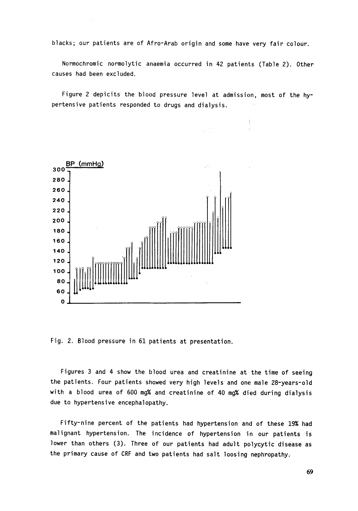blacks; our patients are of Afro-Arab origin and some have very fair colour.

Normochromic normolytic anaemia occurred in 42 patients (Table 2). Other causes had been excluded.

Figure 2 depicits the blood pressure level at admission, most of the hypertensive patients responded to drugs and dialysis.

 $\vdots$ 



Fig. 2. Blood pressure in 61 patients at presentation.

Figures **3** and 4 show the blood urea and creatinine at the time of seeing the patients. Four patients showed very high levels and one male 28-years-old with a blood urea of 600 mg% and creatinine of 40 mg% died during dialysis due to hypertensive encephal opathy.

Fifty-nine percent of the patients had hypertension and of these 19% had malignant hypertension. The incidence of hypertension in our patients is lower than others **(3).** Three of our patients had adult polycytic disease as the primary cause of CRF and two patients had salt loosing nephropathy;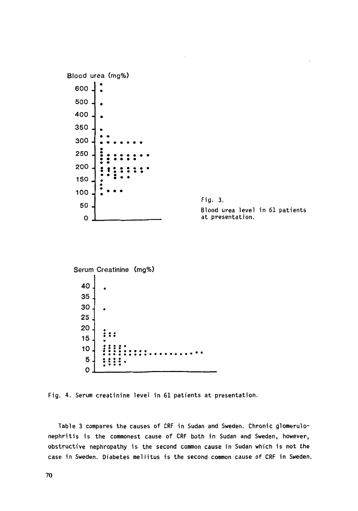

Fig. 4. Serum creatinine level in 61 patients at presentation.

Table 3 compares the causes of **CRF** in Sudan and Sweden. Chronic glomerulonephritis is the commonest cause of **CRF** both in Sudan and Sweden, however, obstructive nephropathy is the second common cause in Sudan which is not the case in Sweden. Diabetes mellitus is the second common cause of **CRF** in Sweden.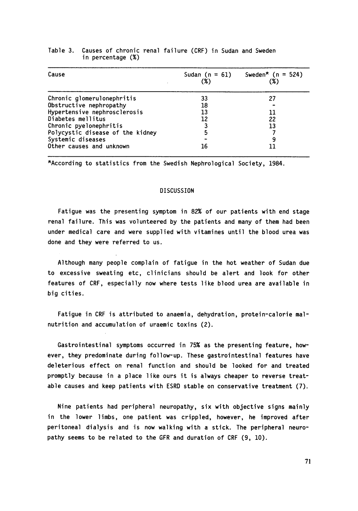| Cause                            | (%) | Sudan (n = 61) Sweden* (n = 524)<br>(%) |
|----------------------------------|-----|-----------------------------------------|
| Chronic glomerulonephritis       | 33  | 27                                      |
| Obstructive nephropathy          | 18  |                                         |
| Hypertensive nephrosclerosis     | 13  | 11                                      |
| Diabetes mellitus                | 12  | 22                                      |
| Chronic pyelonephritis           |     | 13                                      |
| Polycystic disease of the kidney |     |                                         |
| Systemic diseases                |     |                                         |
| Other causes and unknown         | 16  |                                         |

### Table 3. Causes of chronic renal failure (CRF) in Sudan and Sweden in percentage (%)

\*According to statistics from the Swedish Nephrological Society, 1984.

#### DISCUSSION

Fatigue was the presenting symptom in 82% of our patients with end stage renal failure. This was volunteered by the patients and many of them had been under medical care and were supplied with vitamines until the blood urea was done and they were referred to us.

Although many people complain of fatigue in the hot weather of Sudan due to excessive sweating etc, clinicians should be alert and look for other features of CRF, especially now where tests like blood urea are available in big cities.

Fatigue in CRF is attributed to anaemia, dehydration, protein-calorie malnutrition and accumulation of uraemic toxins (2).

Gastrointestinal symptoms occurred in 75% as the presenting feature, however, they predominate during follow-up. These gastrointestinal features have deleterious effect on renal function and should be looked for and treated promptly because in a place like ours it is always cheaper to reverse treatable causes and keep patients with ESRD stable on conservative treatment (7).

Nine patients had peripheral neuropathy, six with objective signs mainly in the lower limbs, one patient was crippled, however, he improved after peritoneal dialysis and is now walking with a stick. The peripheral neuropathy seems to be related to the GFR and duration of CRF (9, 10).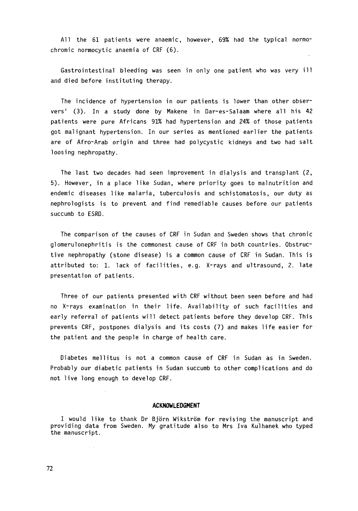All the 61 patients were anaemic, however, 69% had the typical normochromic normocytic anaemia of CRF (6).

Gastrointestinal bleeding was seen in only one patient who was very ill and died before instituting therapy.

The incidence of hypertension in our patients is lower than other observers' (3). In a study done by Makene in Oar-es-Salaam where all his 42 patients were pure Africans *91%* had hypertension and 24% of those patients got malignant hypertension. In our series as mentioned earlier the patients are of Afro-Arab origin and three had polycystic kidneys and two had salt loosing nephropathy.

The last two decades had seen improvement in dialysis and transplant (2, 5). However, in a place like Sudan, where priority goes to malnutrition and endemic diseases like malaria, tuberculosis and schistomatosis, our duty as nephrologists is to prevent and find remediable causes before our patients succumb to ESRO.

The comparison of the causes of CRF in Sudan and Sweden shows that chronic glomerulonephritis is the commonest cause of CRF in both countries. Obstructive nephropathy (stone disease) is a common cause of CRF in Sudan. This is attributed to: 1. lack of facilities, e.g. X-rays and ultrasound, 2. late presentation of patients.

Three of our patients presented with CRF without been seen before and had no X-rays examination in their life. Availability of such facilities and early referral of patients will detect patients before they develop CRF. This prevents CRF, postpones dialysis and its costs (7) and makes life easier for the patient and the people in charge of health care.

Diabetes mellitus is not a common cause of CRF in Sudan as in Sweden. Probably our diabetic patients in Sudan succumb to other complications and do not live long enough to develop CRF.

#### **ACKNOWLEDGMENT**

I would like to thank Or Bjorn Wikstrom **for** revising the manuscript and providing data from Sweden. My gratitude also to Mrs Iva Kulhanek who typed the manuscript.

**72**